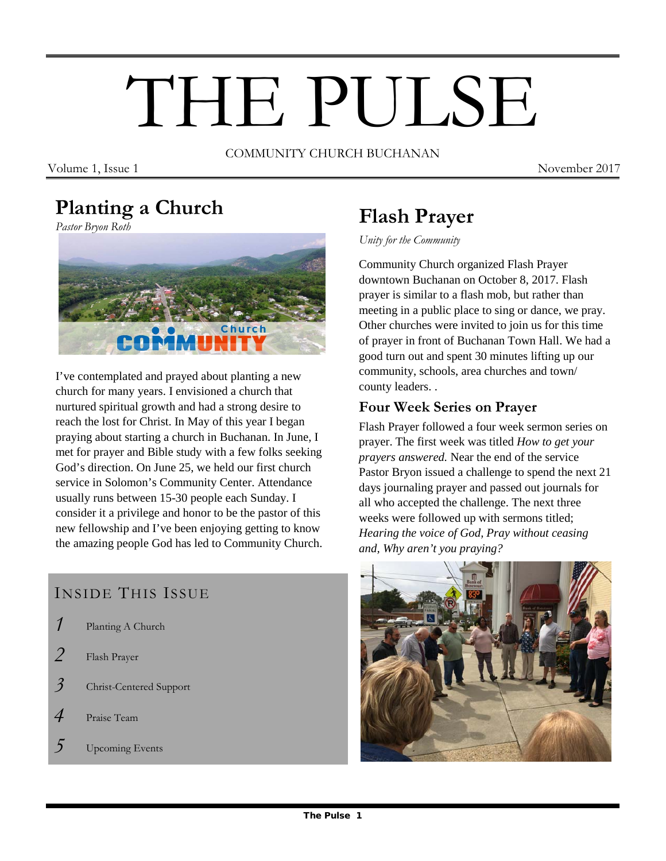# THE PULSE

COMMUNITY CHURCH BUCHANAN

Volume 1, Issue 1 November 2017

# **Planting a Church**

*Pastor Bryon Roth*



I've contemplated and prayed about planting a new church for many years. I envisioned a church that nurtured spiritual growth and had a strong desire to reach the lost for Christ. In May of this year I began praying about starting a church in Buchanan. In June, I met for prayer and Bible study with a few folks seeking God's direction. On June 25, we held our first church service in Solomon's Community Center. Attendance usually runs between 15-30 people each Sunday. I consider it a privilege and honor to be the pastor of this new fellowship and I've been enjoying getting to know the amazing people God has led to Community Church.

## INSIDE THIS ISSUE

- *1* Planting A Church
- *2* Flash Prayer
- *3* Christ-Centered Support
- *4* Praise Team
- *5* Upcoming Events

# **Flash Prayer**

*Unity for the Community*

Community Church organized Flash Prayer downtown Buchanan on October 8, 2017. Flash prayer is similar to a flash mob, but rather than meeting in a public place to sing or dance, we pray. Other churches were invited to join us for this time of prayer in front of Buchanan Town Hall. We had a good turn out and spent 30 minutes lifting up our community, schools, area churches and town/ county leaders. .

#### **Four Week Series on Prayer**

Flash Prayer followed a four week sermon series on prayer. The first week was titled *How to get your prayers answered.* Near the end of the service Pastor Bryon issued a challenge to spend the next 21 days journaling prayer and passed out journals for all who accepted the challenge. The next three weeks were followed up with sermons titled; *Hearing the voice of God, Pray without ceasing and, Why aren't you praying?*